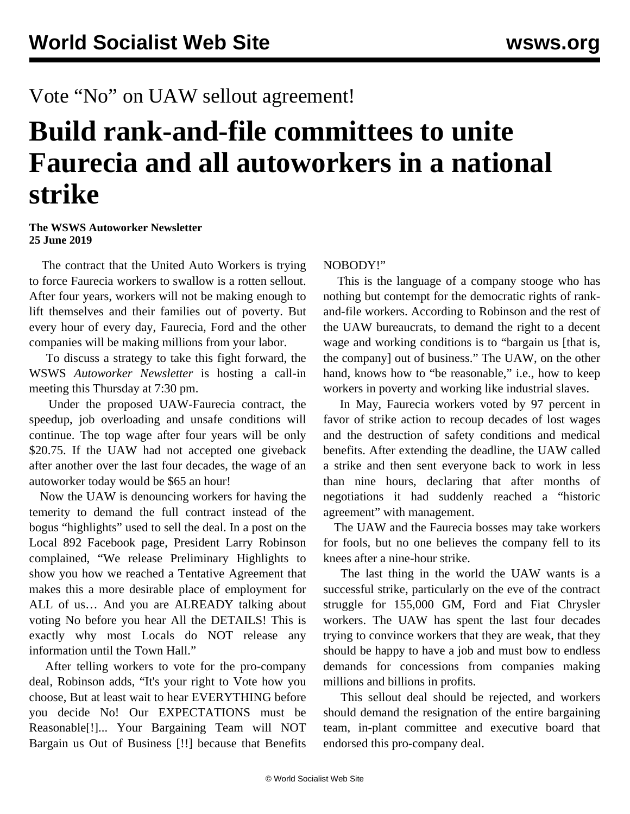## Vote "No" on UAW sellout agreement!

# **Build rank-and-file committees to unite Faurecia and all autoworkers in a national strike**

#### **The WSWS Autoworker Newsletter 25 June 2019**

 The contract that the United Auto Workers is trying to force Faurecia workers to swallow is a rotten sellout. After four years, workers will not be making enough to lift themselves and their families out of poverty. But every hour of every day, Faurecia, Ford and the other companies will be making millions from your labor.

 To discuss a strategy to take this fight forward, the WSWS *Autoworker Newsletter* is hosting a [call-in](https://mailchi.mp/2ada640238a3/auto) [meeting this Thursday at 7:30 pm.](https://mailchi.mp/2ada640238a3/auto)

 Under the proposed UAW-Faurecia contract, the speedup, job overloading and unsafe conditions will continue. The top wage after four years will be only \$20.75. If the UAW had not accepted one giveback after another over the last four decades, the wage of an autoworker today would be \$65 an hour!

 Now the UAW is denouncing workers for having the temerity to demand the full contract instead of the bogus "highlights" used to sell the deal. In a post on the Local 892 Facebook page, President Larry Robinson complained, "We release Preliminary Highlights to show you how we reached a Tentative Agreement that makes this a more desirable place of employment for ALL of us… And you are ALREADY talking about voting No before you hear All the DETAILS! This is exactly why most Locals do NOT release any information until the Town Hall."

 After telling workers to vote for the pro-company deal, Robinson adds, "It's your right to Vote how you choose, But at least wait to hear EVERYTHING before you decide No! Our EXPECTATIONS must be Reasonable[!]... Your Bargaining Team will NOT Bargain us Out of Business [!!] because that Benefits

#### NOBODY!"

 This is the language of a company stooge who has nothing but contempt for the democratic rights of rankand-file workers. According to Robinson and the rest of the UAW bureaucrats, to demand the right to a decent wage and working conditions is to "bargain us [that is, the company] out of business." The UAW, on the other hand, knows how to "be reasonable," i.e., how to keep workers in poverty and working like industrial slaves.

 In May, Faurecia workers voted by 97 percent in favor of strike action to recoup decades of lost wages and the destruction of safety conditions and medical benefits. After extending the deadline, the UAW called a strike and then sent everyone back to work in less than nine hours, declaring that after months of negotiations it had suddenly reached a "historic agreement" with management.

 The UAW and the Faurecia bosses may take workers for fools, but no one believes the company fell to its knees after a nine-hour strike.

 The last thing in the world the UAW wants is a successful strike, particularly on the eve of the contract struggle for 155,000 GM, Ford and Fiat Chrysler workers. The UAW has spent the last four decades trying to convince workers that they are weak, that they should be happy to have a job and must bow to endless demands for concessions from companies making millions and billions in profits.

 This sellout deal should be rejected, and workers should demand the resignation of the entire bargaining team, in-plant committee and executive board that endorsed this pro-company deal.